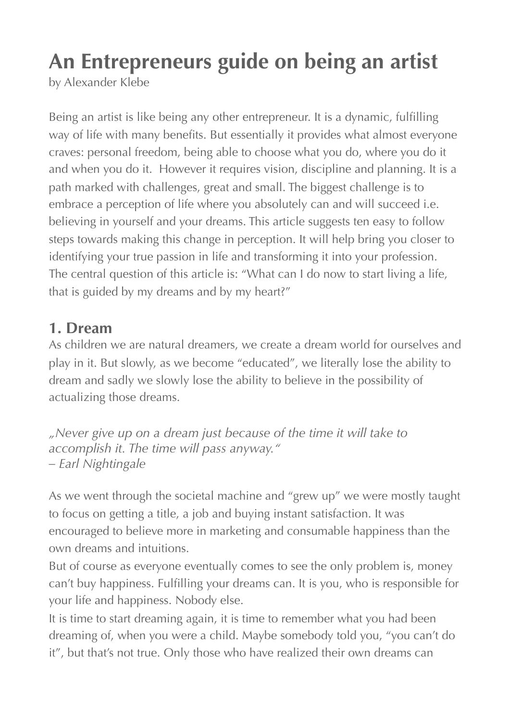# **An Entrepreneurs guide on being an artist**

by [Alexander Klebe](http://www.alexanderklebe.de)

Being an artist is like being any other entrepreneur. It is a dynamic, fulfilling way of life with many benefits. But essentially it provides what almost everyone craves: personal freedom, being able to choose what you do, where you do it and when you do it. However it requires vision, discipline and planning. It is a path marked with challenges, great and small. The biggest challenge is to embrace a perception of life where you absolutely can and will succeed i.e. believing in yourself and your dreams. This article suggests ten easy to follow steps towards making this change in perception. It will help bring you closer to identifying your true passion in life and transforming it into your profession. The central question of this article is: "What can I do now to start living a life, that is guided by my dreams and by my heart?"

## **1. Dream**

As children we are natural dreamers, we create a dream world for ourselves and play in it. But slowly, as we become "educated", we literally lose the ability to dream and sadly we slowly lose the ability to believe in the possibility of actualizing those dreams.

*"Never give up on a dream just because of the time it will take to accomplish it. The time will pass anyway." – Earl Nightingale* 

As we went through the societal machine and "grew up" we were mostly taught to focus on getting a title, a job and buying instant satisfaction. It was encouraged to believe more in marketing and consumable happiness than the own dreams and intuitions.

But of course as everyone eventually comes to see the only problem is, money can't buy happiness. Fulfilling your dreams can. It is you, who is responsible for your life and happiness. Nobody else.

It is time to start dreaming again, it is time to remember what you had been dreaming of, when you were a child. Maybe somebody told you, "you can't do it", but that's not true. Only those who have realized their own dreams can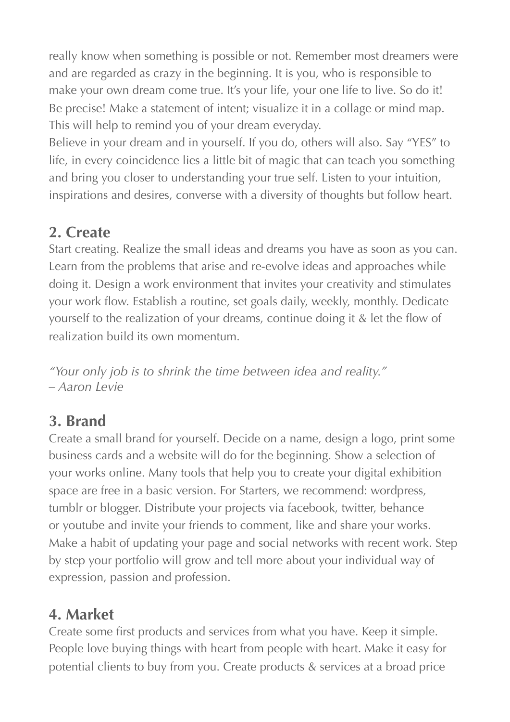really know when something is possible or not. Remember most dreamers were and are regarded as crazy in the beginning. It is you, who is responsible to make your own dream come true. It's your life, your one life to live. So do it! Be precise! Make a statement of intent; visualize it in a collage or mind map. This will help to remind you of your dream everyday.

Believe in your dream and in yourself. If you do, others will also. Say "YES" to life, in every coincidence lies a little bit of magic that can teach you something and bring you closer to understanding your true self. Listen to your intuition, inspirations and desires, converse with a diversity of thoughts but follow heart.

## **2. Create**

Start creating. Realize the small ideas and dreams you have as soon as you can. Learn from the problems that arise and re-evolve ideas and approaches while doing it. Design a work environment that invites your creativity and stimulates your work flow. Establish a routine, set goals daily, weekly, monthly. Dedicate yourself to the realization of your dreams, continue doing it & let the flow of realization build its own momentum.

*"Your only job is to shrink the time between idea and reality." – Aaron Levie* 

## **3. Brand**

Create a small brand for yourself. Decide on a name, design a logo, print some business cards and a website will do for the beginning. Show a selection of your works online. Many tools that help you to create your digital exhibition space are free in a basic version. For Starters, we recommend: wordpress, tumblr or blogger. Distribute your projects via facebook, twitter, behance or youtube and invite your friends to comment, like and share your works. Make a habit of updating your page and social networks with recent work. Step by step your portfolio will grow and tell more about your individual way of expression, passion and profession.

## **4. Market**

Create some first products and services from what you have. Keep it simple. People love buying things with heart from people with heart. Make it easy for potential clients to buy from you. Create products & services at a broad price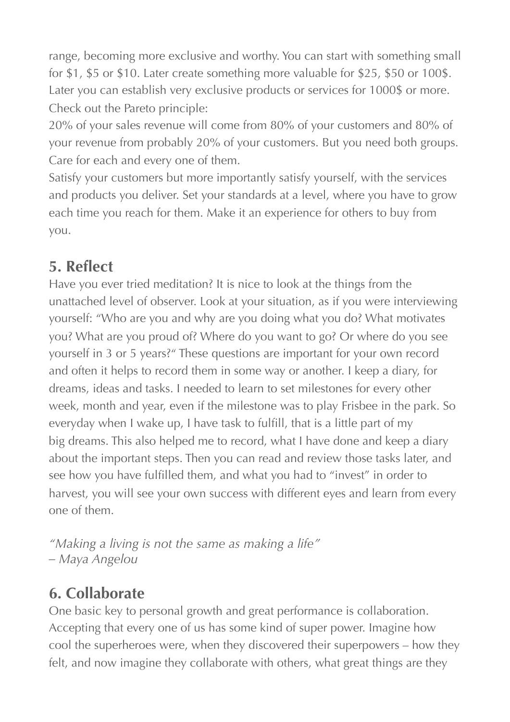range, becoming more exclusive and worthy. You can start with something small for \$1, \$5 or \$10. Later create something more valuable for \$25, \$50 or 100\$. Later you can establish very exclusive products or services for 1000\$ or more. Check out the Pareto principle:

20% of your sales revenue will come from 80% of your customers and 80% of your revenue from probably 20% of your customers. But you need both groups. Care for each and every one of them.

Satisfy your customers but more importantly satisfy yourself, with the services and products you deliver. Set your standards at a level, where you have to grow each time you reach for them. Make it an experience for others to buy from you.

## **5. Reflect**

Have you ever tried meditation? It is nice to look at the things from the unattached level of observer. Look at your situation, as if you were interviewing yourself: "Who are you and why are you doing what you do? What motivates you? What are you proud of? Where do you want to go? Or where do you see yourself in 3 or 5 years?" These questions are important for your own record and often it helps to record them in some way or another. I keep a diary, for dreams, ideas and tasks. I needed to learn to set milestones for every other week, month and year, even if the milestone was to play Frisbee in the park. So everyday when I wake up, I have task to fulfill, that is a little part of my big dreams. This also helped me to record, what I have done and keep a diary about the important steps. Then you can read and review those tasks later, and see how you have fulfilled them, and what you had to "invest" in order to harvest, you will see your own success with different eyes and learn from every one of them.

*"Making a living is not the same as making a life" – Maya Angelou* 

## **6. Collaborate**

One basic key to personal growth and great performance is collaboration. Accepting that every one of us has some kind of super power. Imagine how cool the superheroes were, when they discovered their superpowers – how they felt, and now imagine they collaborate with others, what great things are they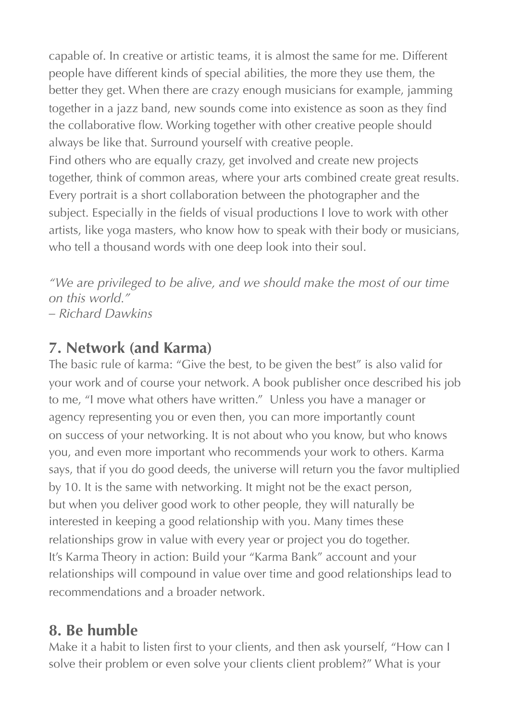capable of. In creative or artistic teams, it is almost the same for me. Different people have different kinds of special abilities, the more they use them, the better they get. When there are crazy enough musicians for example, jamming together in a jazz band, new sounds come into existence as soon as they find the collaborative flow. Working together with other creative people should always be like that. Surround yourself with creative people.

Find others who are equally crazy, get involved and create new projects together, think of common areas, where your arts combined create great results. Every portrait is a short collaboration between the photographer and the subject. Especially in the fields of visual productions I love to work with other artists, like yoga masters, who know how to speak with their body or musicians, who tell a thousand words with one deep look into their soul.

*"We are privileged to be alive, and we should make the most of our time on this world." – Richard Dawkins* 

#### **7. Network (and Karma)**

The basic rule of karma: "Give the best, to be given the best" is also valid for your work and of course your network. A book publisher once described his job to me, "I move what others have written." Unless you have a manager or agency representing you or even then, you can more importantly count on success of your networking. It is not about who you know, but who knows you, and even more important who recommends your work to others. Karma says, that if you do good deeds, the universe will return you the favor multiplied by 10. It is the same with networking. It might not be the exact person, but when you deliver good work to other people, they will naturally be interested in keeping a good relationship with you. Many times these relationships grow in value with every year or project you do together. It's Karma Theory in action: Build your "Karma Bank" account and your relationships will compound in value over time and good relationships lead to recommendations and a broader network.

## **8. Be humble**

Make it a habit to listen first to your clients, and then ask yourself, "How can I solve their problem or even solve your clients client problem?" What is your